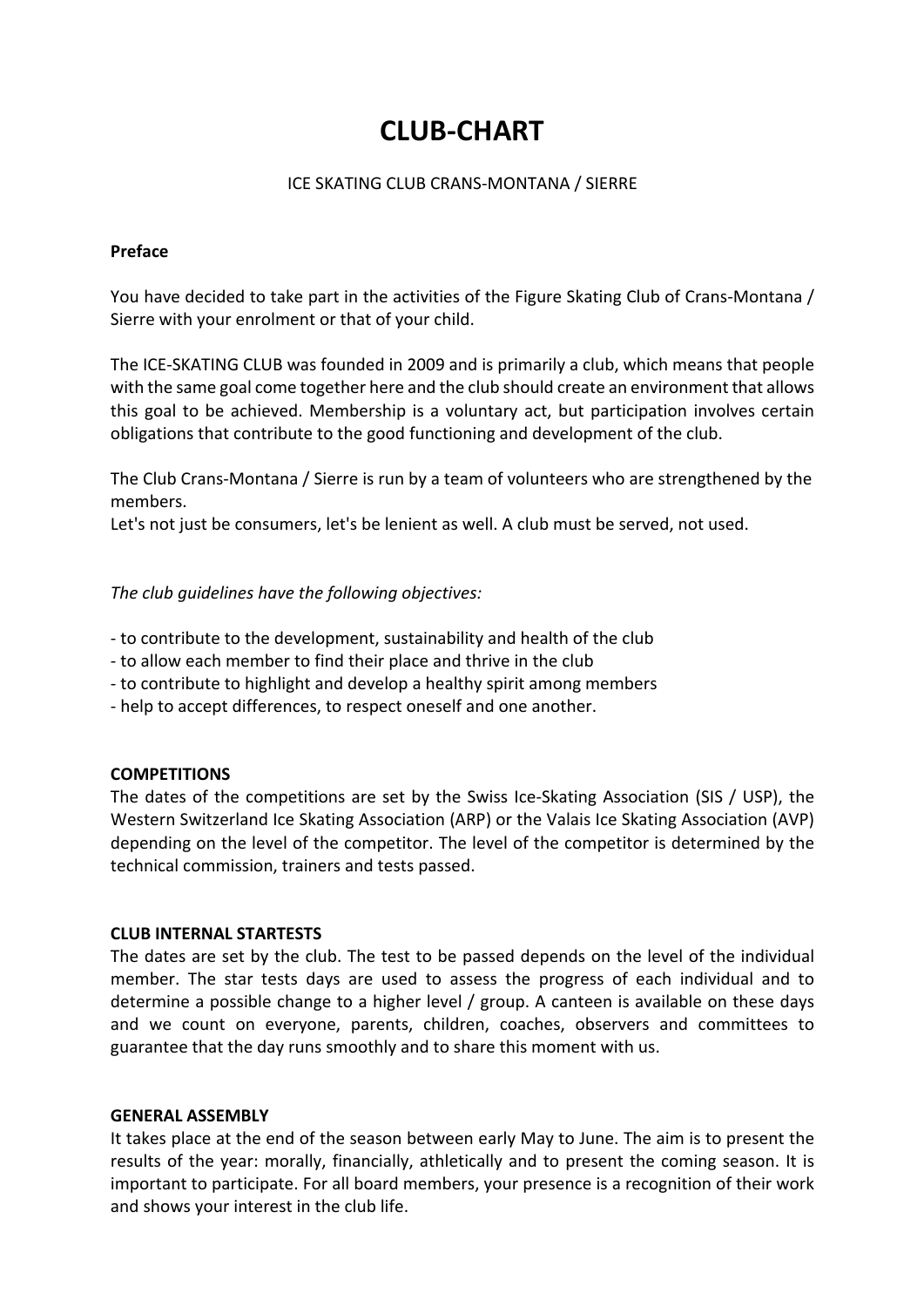# **CLUB-CHART**

#### ICE SKATING CLUB CRANS-MONTANA / SIERRE

# **Preface**

You have decided to take part in the activities of the Figure Skating Club of Crans-Montana / Sierre with your enrolment or that of your child.

The ICE-SKATING CLUB was founded in 2009 and is primarily a club, which means that people with the same goal come together here and the club should create an environment that allows this goal to be achieved. Membership is a voluntary act, but participation involves certain obligations that contribute to the good functioning and development of the club.

The Club Crans-Montana / Sierre is run by a team of volunteers who are strengthened by the members.

Let's not just be consumers, let's be lenient as well. A club must be served, not used.

*The club guidelines have the following objectives:*

- to contribute to the development, sustainability and health of the club
- to allow each member to find their place and thrive in the club
- to contribute to highlight and develop a healthy spirit among members
- help to accept differences, to respect oneself and one another.

#### **COMPETITIONS**

The dates of the competitions are set by the Swiss Ice-Skating Association (SIS / USP), the Western Switzerland Ice Skating Association (ARP) or the Valais Ice Skating Association (AVP) depending on the level of the competitor. The level of the competitor is determined by the technical commission, trainers and tests passed.

#### **CLUB INTERNAL STARTESTS**

The dates are set by the club. The test to be passed depends on the level of the individual member. The star tests days are used to assess the progress of each individual and to determine a possible change to a higher level / group. A canteen is available on these days and we count on everyone, parents, children, coaches, observers and committees to guarantee that the day runs smoothly and to share this moment with us.

#### **GENERAL ASSEMBLY**

It takes place at the end of the season between early May to June. The aim is to present the results of the year: morally, financially, athletically and to present the coming season. It is important to participate. For all board members, your presence is a recognition of their work and shows your interest in the club life.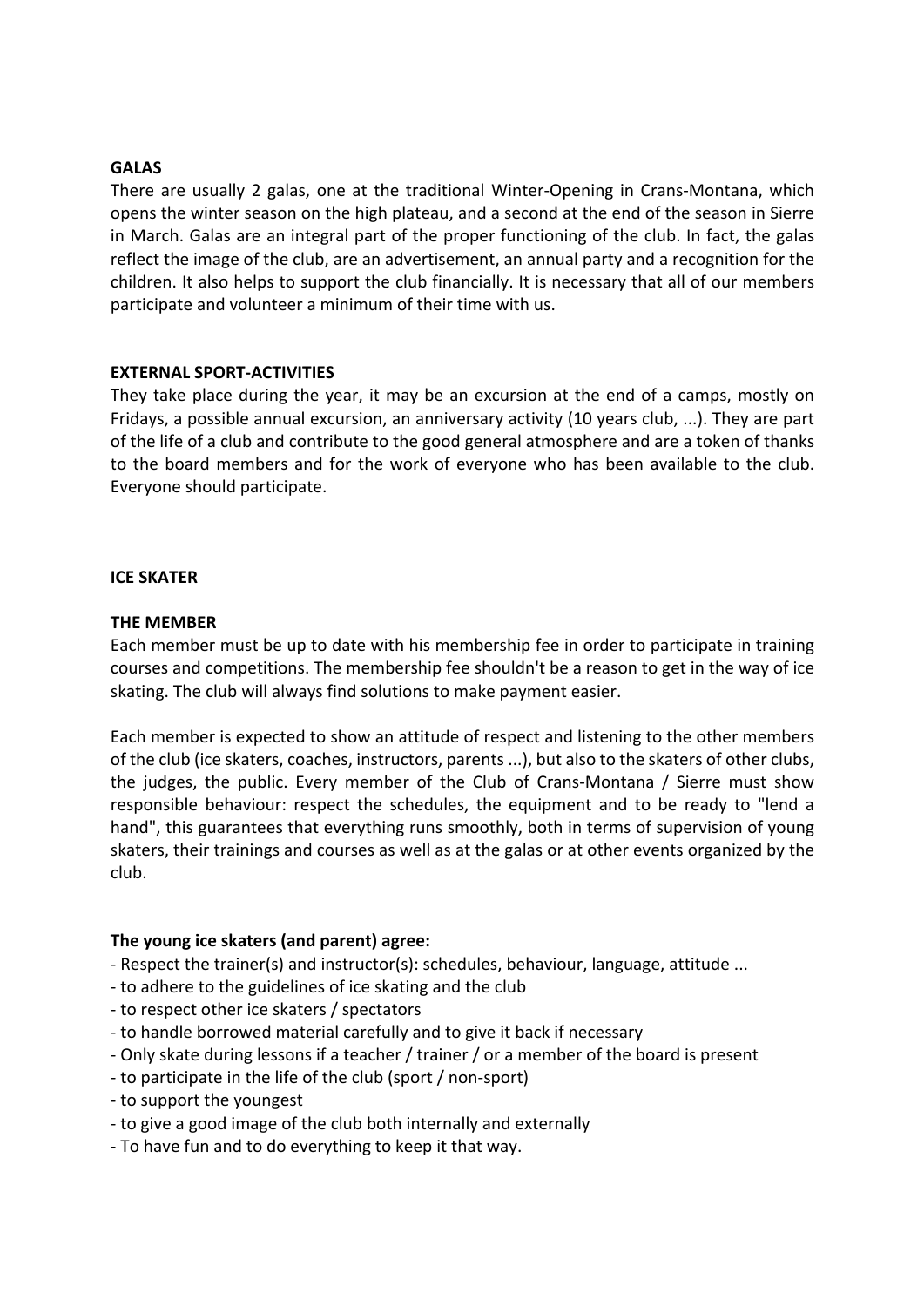# **GALAS**

There are usually 2 galas, one at the traditional Winter-Opening in Crans-Montana, which opens the winter season on the high plateau, and a second at the end of the season in Sierre in March. Galas are an integral part of the proper functioning of the club. In fact, the galas reflect the image of the club, are an advertisement, an annual party and a recognition for the children. It also helps to support the club financially. It is necessary that all of our members participate and volunteer a minimum of their time with us.

#### **EXTERNAL SPORT-ACTIVITIES**

They take place during the year, it may be an excursion at the end of a camps, mostly on Fridays, a possible annual excursion, an anniversary activity (10 years club, ...). They are part of the life of a club and contribute to the good general atmosphere and are a token of thanks to the board members and for the work of everyone who has been available to the club. Everyone should participate.

#### **ICE SKATER**

#### **THE MEMBER**

Each member must be up to date with his membership fee in order to participate in training courses and competitions. The membership fee shouldn't be a reason to get in the way of ice skating. The club will always find solutions to make payment easier.

Each member is expected to show an attitude of respect and listening to the other members of the club (ice skaters, coaches, instructors, parents ...), but also to the skaters of other clubs, the judges, the public. Every member of the Club of Crans-Montana / Sierre must show responsible behaviour: respect the schedules, the equipment and to be ready to "lend a hand", this guarantees that everything runs smoothly, both in terms of supervision of young skaters, their trainings and courses as well as at the galas or at other events organized by the club.

# **The young ice skaters (and parent) agree:**

- Respect the trainer(s) and instructor(s): schedules, behaviour, language, attitude ...
- to adhere to the guidelines of ice skating and the club
- to respect other ice skaters / spectators
- to handle borrowed material carefully and to give it back if necessary
- Only skate during lessons if a teacher / trainer / or a member of the board is present
- to participate in the life of the club (sport / non-sport)
- to support the youngest
- to give a good image of the club both internally and externally
- To have fun and to do everything to keep it that way.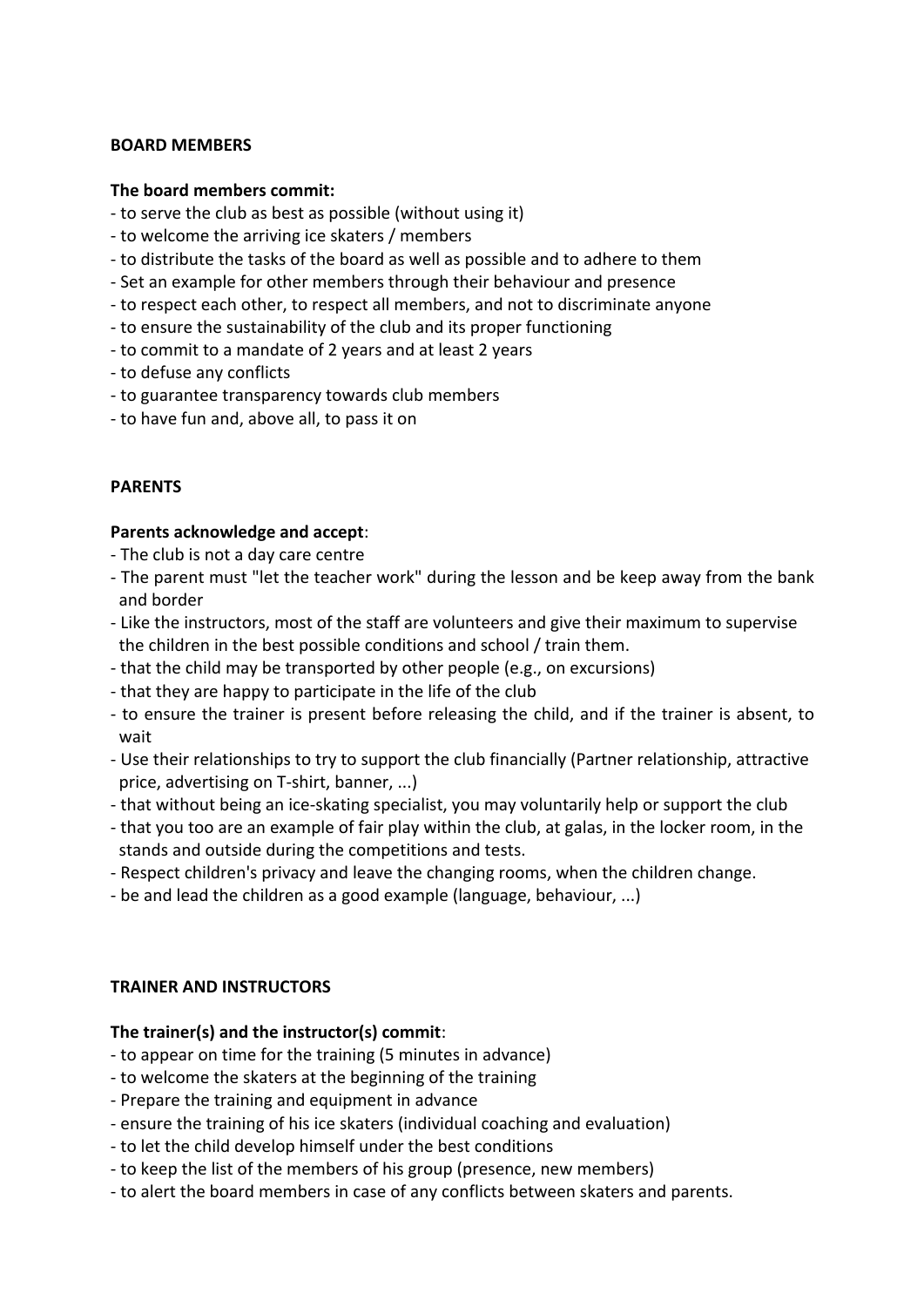# **BOARD MEMBERS**

#### **The board members commit:**

- to serve the club as best as possible (without using it)
- to welcome the arriving ice skaters / members
- to distribute the tasks of the board as well as possible and to adhere to them
- Set an example for other members through their behaviour and presence
- to respect each other, to respect all members, and not to discriminate anyone
- to ensure the sustainability of the club and its proper functioning
- to commit to a mandate of 2 years and at least 2 years
- to defuse any conflicts
- to guarantee transparency towards club members
- to have fun and, above all, to pass it on

# **PARENTS**

# **Parents acknowledge and accept**:

- The club is not a day care centre
- The parent must "let the teacher work" during the lesson and be keep away from the bank and border
- Like the instructors, most of the staff are volunteers and give their maximum to supervise the children in the best possible conditions and school / train them.
- that the child may be transported by other people (e.g., on excursions)
- that they are happy to participate in the life of the club
- to ensure the trainer is present before releasing the child, and if the trainer is absent, to wait
- Use their relationships to try to support the club financially (Partner relationship, attractive price, advertising on T-shirt, banner, ...)
- that without being an ice-skating specialist, you may voluntarily help or support the club
- that you too are an example of fair play within the club, at galas, in the locker room, in the stands and outside during the competitions and tests.
- Respect children's privacy and leave the changing rooms, when the children change.
- be and lead the children as a good example (language, behaviour, ...)

# **TRAINER AND INSTRUCTORS**

# **The trainer(s) and the instructor(s) commit**:

- to appear on time for the training (5 minutes in advance)
- to welcome the skaters at the beginning of the training
- Prepare the training and equipment in advance
- ensure the training of his ice skaters (individual coaching and evaluation)
- to let the child develop himself under the best conditions
- to keep the list of the members of his group (presence, new members)
- to alert the board members in case of any conflicts between skaters and parents.